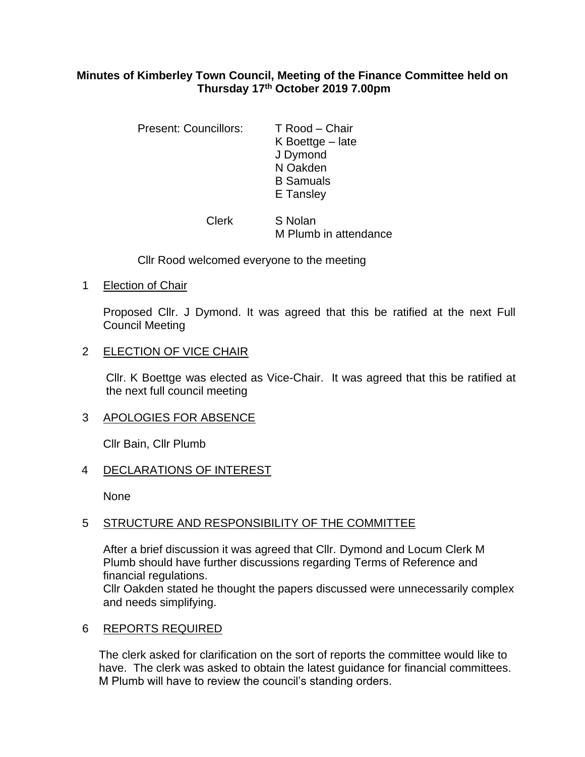### **Minutes of Kimberley Town Council, Meeting of the Finance Committee held on Thursday 17th October 2019 7.00pm**

| <b>Present: Councillors:</b> | T Rood – Chair     |
|------------------------------|--------------------|
|                              | K Boettge $-$ late |
|                              | J Dymond           |
|                              | N Oakden           |
|                              | <b>B</b> Samuals   |
|                              | E Tansley          |
|                              |                    |

Clerk S Nolan M Plumb in attendance

Cllr Rood welcomed everyone to the meeting

1 Election of Chair

Proposed Cllr. J Dymond. It was agreed that this be ratified at the next Full Council Meeting

## 2 ELECTION OF VICE CHAIR

Cllr. K Boettge was elected as Vice-Chair. It was agreed that this be ratified at the next full council meeting

# 3 APOLOGIES FOR ABSENCE

Cllr Bain, Cllr Plumb

# 4 DECLARATIONS OF INTEREST

None

# 5 STRUCTURE AND RESPONSIBILITY OF THE COMMITTEE

After a brief discussion it was agreed that Cllr. Dymond and Locum Clerk M Plumb should have further discussions regarding Terms of Reference and financial regulations.

Cllr Oakden stated he thought the papers discussed were unnecessarily complex and needs simplifying.

### 6 REPORTS REQUIRED

The clerk asked for clarification on the sort of reports the committee would like to have. The clerk was asked to obtain the latest guidance for financial committees. M Plumb will have to review the council's standing orders.